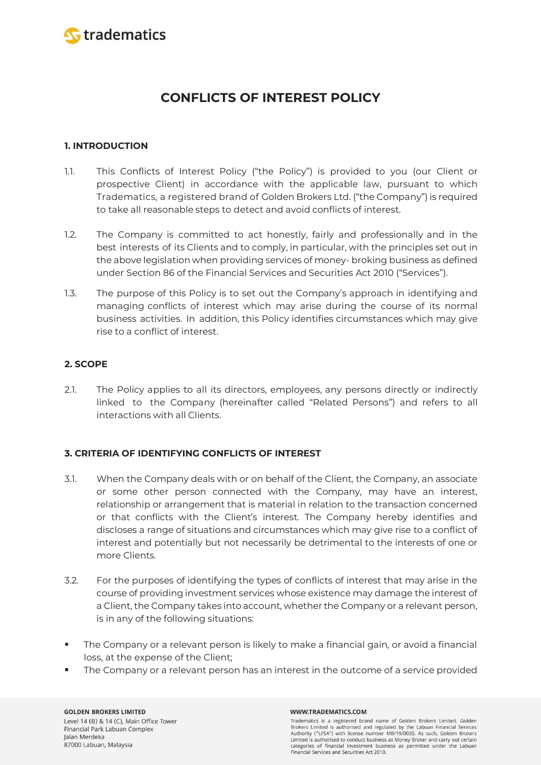

# **CONFLICTS OF INTEREST POLICY**

# **1. INTRODUCTION**

- 1.1. This Conflicts of Interest Policy ("the Policy") is provided to you (our Client or prospective Client) in accordance with the applicable law, pursuant to which Tradematics, a registered brand of Golden Brokers Ltd. ("the Company") is required to take all reasonable steps to detect and avoid conflicts of interest.
- 1.2. The Company is committed to act honestly, fairly and professionally and in the best interests of its Clients and to comply, in particular, with the principles set out in the above legislation when providing services of money- broking business as defined under Section 86 of the Financial Services and Securities Act 2010 ("Services").
- 1.3. The purpose of this Policy is to set out the Company's approach in identifying and managing conflicts of interest which may arise during the course of its normal business activities. In addition, this Policy identifies circumstances which may give rise to a conflict of interest.

# **2. SCOPE**

2.1. The Policy applies to all its directors, employees, any persons directly or indirectly linked to the Company (hereinafter called "Related Persons") and refers to all interactions with all Clients.

# **3. CRITERIA OF IDENTIFYING CONFLICTS OF INTEREST**

- 3.1. When the Company deals with or on behalf of the Client, the Company, an associate or some other person connected with the Company, may have an interest, relationship or arrangement that is material in relation to the transaction concerned or that conflicts with the Client's interest. The Company hereby identifies and discloses a range of situations and circumstances which may give rise to a conflict of interest and potentially but not necessarily be detrimental to the interests of one or more Clients.
- 3.2. For the purposes of identifying the types of conflicts of interest that may arise in the course of providing investment services whose existence may damage the interest of a Client, the Company takes into account, whether the Company or a relevant person, is in any of the following situations:
- $\blacksquare$ The Company or a relevant person is likely to make a financial gain, or avoid a financial loss, at the expense of the Client;
- The Company or a relevant person has an interest in the outcome of a service provided

#### **GOLDEN BROKERS LIMITED** Level 14 (B) & 14 (C), Main Office Tower Financial Park Labuan Complex Jalan Merdeka 87000 Labuan, Malaysia

### WWW.TRADEMATICS.COM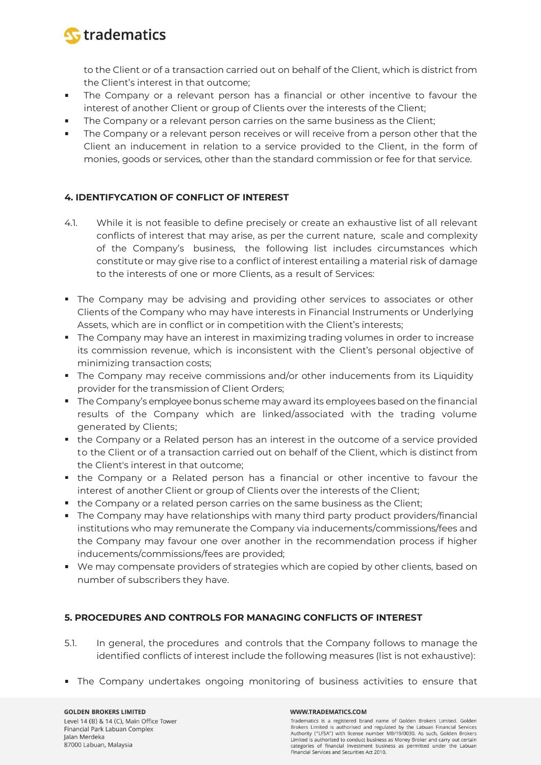

to the Client or of a transaction carried out on behalf of the Client, which is district from the Client's interest in that outcome;

- The Company or a relevant person has a financial or other incentive to favour the interest of another Client or group of Clients over the interests of the Client;
- The Company or a relevant person carries on the same business as the Client;  $\blacksquare$
- The Company or a relevant person receives or will receive from a person other that the Client an inducement in relation to a service provided to the Client, in the form of monies, goods or services, other than the standard commission or fee for that service.

# **4. IDENTIFYCATION OF CONFLICT OF INTEREST**

- 4.1. While it is not feasible to define precisely or create an exhaustive list of all relevant conflicts of interest that may arise, as per the current nature, scale and complexity of the Company's business, the following list includes circumstances which constitute or may give rise to a conflict of interest entailing a material risk of damage to the interests of one or more Clients, as a result of Services:
- The Company may be advising and providing other services to associates or other Clients of the Company who may have interests in Financial Instruments or Underlying Assets, which are in conflict or in competition with the Client's interests;
- **The Company may have an interest in maximizing trading volumes in order to increase** its commission revenue, which is inconsistent with the Client's personal objective of minimizing transaction costs;
- The Company may receive commissions and/or other inducements from its Liquidity provider for the transmission of Client Orders;
- **The Company's employee bonus scheme may award its employees based on the financial** results of the Company which are linked/associated with the trading volume generated by Clients;
- the Company or a Related person has an interest in the outcome of a service provided to the Client or of a transaction carried out on behalf of the Client, which is distinct from the Client's interest in that outcome;
- the Company or a Related person has a financial or other incentive to favour the interest of another Client or group of Clients over the interests of the Client;
- the Company or a related person carries on the same business as the Client;
- The Company may have relationships with many third party product providers/financial institutions who may remunerate the Company via inducements/commissions/fees and the Company may favour one over another in the recommendation process if higher inducements/commissions/fees are provided;
- We may compensate providers of strategies which are copied by other clients, based on number of subscribers they have.

# **5. PROCEDURES AND CONTROLS FOR MANAGING CONFLICTS OF INTEREST**

- 5.1. In general, the procedures and controls that the Company follows to manage the identified conflicts of interest include the following measures (list is not exhaustive):
- The Company undertakes ongoing monitoring of business activities to ensure that

### **GOLDEN BROKERS LIMITED**

Level 14 (B) & 14 (C), Main Office Tower Financial Park Labuan Complex Jalan Merdeka 87000 Labuan, Malaysia

### WWW.TRADEMATICS.COM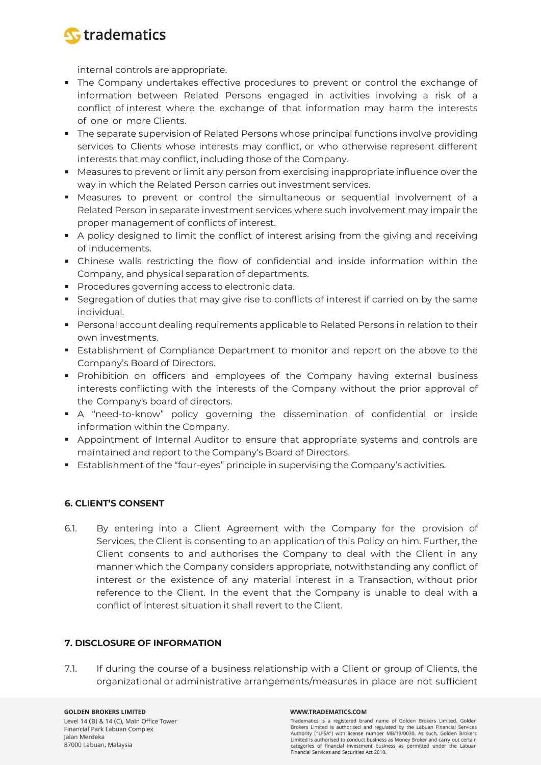

internal controls are appropriate.

- The Company undertakes effective procedures to prevent or control the exchange of information between Related Persons engaged in activities involving a risk of a conflict of interest where the exchange of that information may harm the interests of one or more Clients.
- **The separate supervision of Related Persons whose principal functions involve providing** services to Clients whose interests may conflict, or who otherwise represent different interests that may conflict, including those of the Company.
- Measures to prevent or limit any person from exercising inappropriate influence over the way in which the Related Person carries out investment services.
- Measures to prevent or control the simultaneous or sequential involvement of a Related Person in separate investment services where such involvement may impair the proper management of conflicts of interest.
- A policy designed to limit the conflict of interest arising from the giving and receiving of inducements.
- Chinese walls restricting the flow of confidential and inside information within the Company, and physical separation of departments.
- **Procedures governing access to electronic data.**
- **Seqregation of duties that may give rise to conflicts of interest if carried on by the same** individual.
- **Personal account dealing requirements applicable to Related Persons in relation to their** own investments.
- **Examblishment of Compliance Department to monitor and report on the above to the** Company's Board of Directors.
- Prohibition on officers and employees of the Company having external business interests conflicting with the interests of the Company without the prior approval of the Company's board of directors.
- A "need-to-know" policy governing the dissemination of confidential or inside information within the Company.
- Appointment of Internal Auditor to ensure that appropriate systems and controls are maintained and report to the Company's Board of Directors.
- Establishment of the "four-eyes" principle in supervising the Company's activities.

# **6. CLIENT'S CONSENT**

6.1. By entering into a Client Agreement with the Company for the provision of Services, the Client is consenting to an application of this Policy on him. Further, the Client consents to and authorises the Company to deal with the Client in any manner which the Company considers appropriate, notwithstanding any conflict of interest or the existence of any material interest in a Transaction, without prior reference to the Client. In the event that the Company is unable to deal with a conflict of interest situation it shall revert to the Client.

### **7. DISCLOSURE OF INFORMATION**

7.1. If during the course of a business relationship with a Client or group of Clients, the organizational or administrative arrangements/measures in place are not sufficient

**GOLDEN BROKERS LIMITED** Level 14 (B) & 14 (C), Main Office Tower Financial Park Labuan Complex Jalan Merdeka 87000 Labuan, Malaysia

### WWW.TRADEMATICS.COM